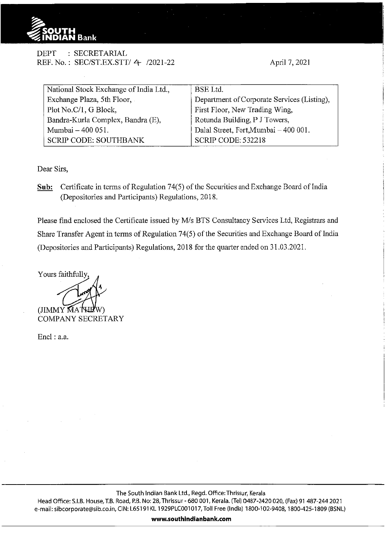

DEPT : SECRETARIAL REF. No.: SEC/ST.EX.STT/ 4- /2021-22

April 7, 2021

| National Stock Exchange of India Ltd., | BSE Ltd.                                    |
|----------------------------------------|---------------------------------------------|
| Exchange Plaza, 5th Floor,             | Department of Corporate Services (Listing), |
| Plot No.C/1, G Block,                  | First Floor, New Trading Wing,              |
| Bandra-Kurla Complex, Bandra (E),      | Rotunda Building, P J Towers,               |
| Mumbai – 400 051.                      | Dalal Street, Fort, Mumbai - 400 001.       |
| <b>SCRIP CODE: SOUTHBANK</b>           | <b>SCRIP CODE: 532218</b>                   |

Dear Sirs,

**Sub:** Certificate in terms of Regulation 74(5) of the Securities and Exchange Board of India (Depositories and Participants) Regulations, 20 18.

Please find enclosed the Certificate issued by M/s BTS Consultancy Services Ltd, Registrars and Share Transfer Agent in terms of Regulation 74(5) of the Securities and Exchange Board of India (Depositories and Participants) Regulations, 2018 for the quarter ended on 31.03.2021.

Yours faithfully

(JIMMY MAT COMPANY SECRETARY

Encl: a.a.

**www.southindianbank.com**